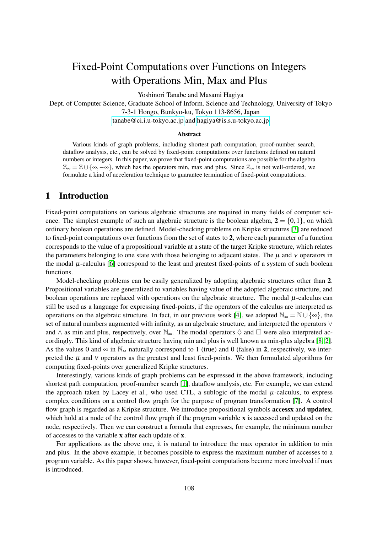# Fixed-Point Computations over Functions on Integers with Operations Min, Max and Plus

Yoshinori Tanabe and Masami Hagiya

Dept. of Computer Science, Graduate School of Inform. Science and Technology, University of Tokyo 7-3-1 Hongo, Bunkyo-ku, Tokyo 113-8656, Japan [tanabe@ci.i.u-tokyo.ac.jp](mailto:tanabe@ci.i.u-tokyo.ac.jp) and [hagiya@is.s.u-tokyo.ac.jp](mailto:hagiya@is.s.u-tokyo.ac.jp)

#### **Abstract**

Various kinds of graph problems, including shortest path computation, proof-number search, dataflow analysis, etc., can be solved by fixed-point computations over functions defined on natural numbers or integers. In this paper, we prove that fixed-point computations are possible for the algebra  $\mathbb{Z}_{\infty} = \mathbb{Z} \cup {\infty, -\infty}$ , which has the operators min, max and plus. Since  $\mathbb{Z}_{\infty}$  is not well-ordered, we formulate a kind of acceleration technique to guarantee termination of fixed-point computations.

## 1 Introduction

Fixed-point computations on various algebraic structures are required in many fields of computer science. The simplest example of such an algebraic structure is the boolean algebra,  $2 = \{0, 1\}$ , on which ordinary boolean operations are defined. Model-checking problems on Kripke structures [\[3\]](#page-6-0) are reduced to fixed-point computations over functions from the set of states to 2, where each parameter of a function corresponds to the value of a propositional variable at a state of the target Kripke structure, which relates the parameters belonging to one state with those belonging to adjacent states. The  $\mu$  and  $\nu$  operators in the modal  $\mu$ -calculus [\[6\]](#page-7-0) correspond to the least and greatest fixed-points of a system of such boolean functions.

Model-checking problems can be easily generalized by adopting algebraic structures other than 2. Propositional variables are generalized to variables having value of the adopted algebraic structure, and boolean operations are replaced with operations on the algebraic structure. The modal  $\mu$ -calculus can still be used as a language for expressing fixed-points, if the operators of the calculus are interpreted as operations on the algebraic structure. In fact, in our previous work [\[4\]](#page-7-1), we adopted  $\mathbb{N}_{\infty} = \mathbb{N} \cup \{\infty\}$ , the set of natural numbers augmented with infinity, as an algebraic structure, and interpreted the operators ∨ and  $\wedge$  as min and plus, respectively, over  $\mathbb{N}_{\infty}$ . The modal operators  $\Diamond$  and  $\Box$  were also interpreted accordingly. This kind of algebraic structure having min and plus is well known as min-plus algebra [\[8,](#page-7-2) [2\]](#page-6-1). As the values 0 and  $\infty$  in  $\mathbb{N}_{\infty}$  naturally correspond to 1 (true) and 0 (false) in 2, respectively, we interpreted the  $\mu$  and  $\nu$  operators as the greatest and least fixed-points. We then formulated algorithms for computing fixed-points over generalized Kripke structures.

Interestingly, various kinds of graph problems can be expressed in the above framework, including shortest path computation, proof-number search [\[1\]](#page-6-2), dataflow analysis, etc. For example, we can extend the approach taken by Lacey et al., who used CTL, a sublogic of the modal  $\mu$ -calculus, to express complex conditions on a control flow graph for the purpose of program transformation [\[7\]](#page-7-3). A control flow graph is regarded as a Kripke structure. We introduce propositional symbols **accessx** and **updatex**, which hold at a node of the control flow graph if the program variable x is accessed and updated on the node, respectively. Then we can construct a formula that expresses, for example, the minimum number of accesses to the variable x after each update of x.

For applications as the above one, it is natural to introduce the max operator in addition to min and plus. In the above example, it becomes possible to express the maximum number of accesses to a program variable. As this paper shows, however, fixed-point computations become more involved if max is introduced.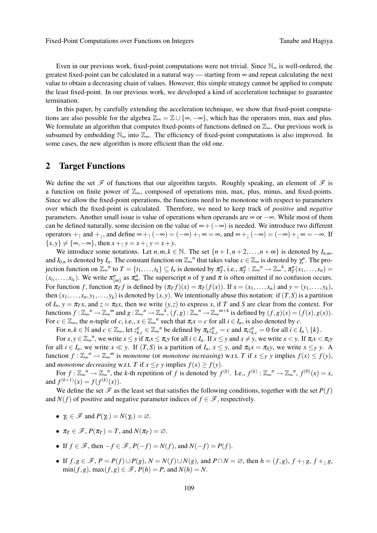Even in our previous work, fixed-point computations were not trivial. Since  $\mathbb{N}_{\infty}$  is well-ordered, the greatest fixed-point can be calculated in a natural way — starting from  $\infty$  and repeat calculating the next value to obtain a decreasing chain of values. However, this simple strategy cannot be applied to compute the least fixed-point. In our previous work, we developed a kind of acceleration technique to guarantee termination.

In this paper, by carefully extending the acceleration technique, we show that fixed-point computations are also possible for the algebra  $\mathbb{Z}_{\infty} = \mathbb{Z} \cup \{\infty, -\infty\}$ , which has the operators min, max and plus. We formulate an algorithm that computes fixed-points of functions defined on  $\mathbb{Z}_{\infty}$ . Our previous work is subsumed by embedding  $\mathbb{N}_{\infty}$  into  $\mathbb{Z}_{\infty}$ . The efficiency of fixed-point computations is also improved. In some cases, the new algorithm is more efficient than the old one.

## 2 Target Functions

We define the set  $\mathscr F$  of functions that our algorithm targets. Roughly speaking, an element of  $\mathscr F$  is a function on finite power of  $\mathbb{Z}_{\infty}$ , composed of operations min, max, plus, minus, and fixed-points. Since we allow the fixed-point operations, the functions need to be monotone with respect to parameters over which the fixed-point is calculated. Therefore, we need to keep track of *positive* and *negative* parameters. Another small issue is value of operations when operands are ∞ or −∞. While most of them can be defined naturally, some decision on the value of  $\infty + (-\infty)$  is needed. We introduce two different operators  $+_{\uparrow}$  and  $+_{\downarrow}$ , and define  $\infty +_{\uparrow} (-\infty) = (-\infty) +_{\uparrow} \infty = \infty$ , and  $\infty +_{\downarrow} (-\infty) = (-\infty) +_{\downarrow} \infty = -\infty$ . If  ${x, y} \neq {\infty, -\infty}$ , then  $x + \gamma y = x + \gamma y = x + y$ .

We introduce some notations. Let  $n,m,k \in \mathbb{N}$ . The set  $\{n+1,n+2,\ldots,n+m\}$  is denoted by  $I_{n,m}$ , and  $I_{0,n}$  is denoted by  $I_n$ . The constant function on  $\mathbb{Z}_{\infty}^n$  that takes value  $c \in \mathbb{Z}_{\infty}$  is denoted by  $\gamma_c^n$ . The projection function on  $\mathbb{Z}_{\infty}^n$  to  $T = \{t_1, \ldots, t_k\} \subseteq I_n$  is denoted by  $\pi^n_T$ , i.e.,  $\pi^n_T : \mathbb{Z}_{\infty}^n \to \mathbb{Z}_{\infty}^k$ ,  $\pi^n_T(x_1, \ldots, x_n) =$  $(x_{t_1},...,x_{t_k})$ . We write  $\pi_{\{m\}}^n$  as  $\pi_m^n$ . The superscript *n* of  $\gamma$  and  $\pi$  is often omitted if no confusion occurs. For function f, function  $\pi_T f$  is defined by  $(\pi_T f)(x) = \pi_T(f(x))$ . If  $x = (x_1, \dots, x_n)$  and  $y = (y_1, \dots, y_k)$ , then  $(x_1,...,x_n,y_1,...,y_k)$  is denoted by  $(x,y)$ . We intentionally abuse this notation: if  $(T,S)$  is a partition of  $I_n$ ,  $y = \pi_T x$ , and  $z = \pi_S x$ , then we write  $(y, z)$  to express x, if T and S are clear from the context. For functions  $f: \mathbb{Z}_{\infty}^n \to \mathbb{Z}_{\infty}^m$  and  $g: \mathbb{Z}_{\infty}^n \to \mathbb{Z}_{\infty}^k$ ,  $(f, g): \mathbb{Z}_{\infty}^n \to \mathbb{Z}_{\infty}^{m+k}$  is defined by  $(f, g)(x) = (f(x), g(x))$ . For  $c \in \mathbb{Z}_{\infty}$ , the *n*-tuple of *c*, i.e.,  $x \in \mathbb{Z}_{\infty}^n$  such that  $\pi_i x = c$  for all  $i \in I_n$ , is also denoted by *c*.

For  $n, k \in \mathbb{N}$  and  $c \in \mathbb{Z}_{\infty}$ , let  $z_{k,c}^n \in \mathbb{Z}_{\infty}^n$  be defined by  $\pi_k z_{k,c}^n = c$  and  $\pi_i z_{k,c}^n = 0$  for all  $i \in I_n \setminus \{k\}$ .

For  $x, y \in \mathbb{Z}_{\infty}^n$ , we write  $x \le y$  if  $\pi_i x \le \pi_i y$  for all  $i \in I_n$ . If  $x \le y$  and  $x \ne y$ , we write  $x < y$ . If  $\pi_i x < \pi_i y$ for all  $i \in I_n$ , we write  $x \ll y$ . If  $(T, S)$  is a partition of  $I_n$ ,  $x \le y$ , and  $\pi_S x = \pi_S y$ , we write  $x \le T y$ . A function  $f: \mathbb{Z}_{\infty}^n \to \mathbb{Z}_{\infty}^m$  is *monotone* (or *monotone* increasing) w.r.t. *T* if  $x \leq_T y$  implies  $f(x) \leq f(y)$ , and *monotone decreasing* w.r.t. *T* if  $x \leq_T y$  implies  $f(x) \geq f(y)$ .

For  $f: \mathbb{Z}_{\infty}^n \to \mathbb{Z}_{\infty}^n$ , the *k*-th repetition of *f* is denoted by  $f^{(k)}$ . I.e.,  $f^{(k)}: \mathbb{Z}_{\infty}^n \to \mathbb{Z}_{\infty}^n$ ,  $f^{(0)}(x) = x$ , and  $f^{(k+1)}(x) = f(f^{(k)}(x)).$ 

We define the set  $\mathcal F$  as the least set that satisfies the following conditions, together with the set  $P(f)$ and  $N(f)$  of positive and negative parameter indices of  $f \in \mathcal{F}$ , respectively.

- $\gamma_c \in \mathscr{F}$  and  $P(\gamma_c) = N(\gamma_c) = \emptyset$ .
- $\pi_T \in \mathscr{F}, P(\pi_T) = T$ , and  $N(\pi_T) = \emptyset$ .
- If  $f \in \mathcal{F}$ , then  $-f \in \mathcal{F}$ ,  $P(-f) = N(f)$ , and  $N(-f) = P(f)$ .
- If  $f, g \in \mathscr{F}$ ,  $P = P(f) \cup P(g)$ ,  $N = N(f) \cup N(g)$ , and  $P \cap N = \emptyset$ , then  $h = (f, g)$ ,  $f + g$ ,  $f + g$ ,  $\min(f, g)$ ,  $\max(f, g) \in \mathcal{F}$ ,  $P(h) = P$ , and  $N(h) = N$ .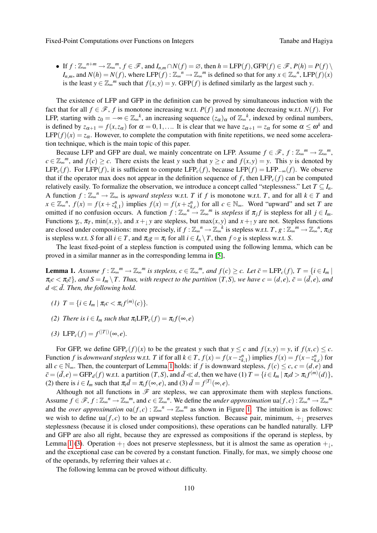Fixed-Point Computations over Functions on Integers Tanabe and Hagiva

 $\bullet$  If  $f: \mathbb{Z}_{\infty}^{n+m} \to \mathbb{Z}_{\infty}^{m}, f \in \mathscr{F}$ , and  $I_{n,m} \cap N(f) = \varnothing$ , then  $h = \text{LFP}(f)$ , GFP $(f) \in \mathscr{F}$ ,  $P(h) = P(f) \setminus \mathscr{F}$  $I_{n,m}$ , and  $N(h) = N(f)$ , where LFP $(f) : \mathbb{Z}_{\infty}^n \to \mathbb{Z}_{\infty}^m$  is defined so that for any  $x \in \mathbb{Z}_{\infty}^n$ , LFP $(f)(x)$ is the least  $y \in \mathbb{Z}_{\infty}^m$  such that  $f(x, y) = y$ . GFP(*f*) is defined similarly as the largest such *y*.

The existence of LFP and GFP in the definition can be proved by simultaneous induction with the fact that for all  $f \in \mathcal{F}$ , *f* is monotone increasing w.r.t. *P(f)* and monotone decreasing w.r.t. *N(f)*. For LFP, starting with  $z_0 = -\infty \in \mathbb{Z}_{\infty}^k$ , an increasing sequence  $(z_{\alpha})_{\alpha}$  of  $\mathbb{Z}_{\infty}^k$ , indexed by ordinal numbers, is defined by  $z_{\alpha+1} = f(x, z_{\alpha})$  for  $\alpha = 0, 1, \ldots$  It is clear that we have  $z_{\alpha+1} = z_{\alpha}$  for some  $\alpha \leq \omega^k$  and LFP( $f(x) = z_\alpha$ . However, to complete the computation with finite repetitions, we need some acceleration technique, which is the main topic of this paper.

Because LFP and GFP are dual, we mainly concentrate on LFP. Assume  $f \in \mathscr{F}$ ,  $f : \mathbb{Z}_{\infty}^m \to \mathbb{Z}_{\infty}^m$ , *c* ∈  $\mathbb{Z}_{\infty}^{m}$ , and *f*(*c*) ≥ *c*. There exists the least *y* such that *y* ≥ *c* and *f*(*x*,*y*) = *y*. This *y* is denoted by LFP<sub>c</sub>(*f*). For LFP(*f*), it is sufficient to compute LFP<sub>c</sub>(*f*), because LFP(*f*) = LFP<sub>-∞</sub>(*f*). We observe that if the operator max does not appear in the definition sequence of  $f$ , then  $LFP_c(f)$  can be computed relatively easily. To formalize the observation, we introduce a concept called "steplessness." Let  $T \subseteq I_n$ . A function  $f: \mathbb{Z}_{\infty}^n \to \mathbb{Z}_{\infty}$  is *upward stepless* w.r.t. *T* if *f* is monotone w.r.t. *T*, and for all  $k \in T$  and  $x \in \mathbb{Z}_{\infty}^n$ ,  $f(x) = f(x + z_{k,1}^n)$  implies  $f(x) = f(x + z_{k,c}^n)$  for all  $c \in \mathbb{N}_{\infty}$ . Word "upward" and set T are omitted if no confusion occurs. A function  $f: \mathbb{Z}_{\infty}^n \to \mathbb{Z}_{\infty}^m$  is *stepless* if  $\pi_j f$  is stepless for all  $j \in I_m$ . Functions  $\gamma_c$ ,  $\pi_T$ , min $(x, y)$ , and  $x + y$  are stepless, but max $(x, y)$  and  $x + y$  are not. Stepless functions are closed under compositions: more precisely, if  $f : \mathbb{Z}_{\infty}^n \to \mathbb{Z}_{\infty}^k$  is stepless w.r.t.  $T, g : \mathbb{Z}_{\infty}^n \to \mathbb{Z}_{\infty}^n$ ,  $\pi_i g$ is stepless w.r.t. *S* for all  $i \in T$ , and  $\pi_i g = \pi_i$  for all  $i \in I_n \setminus T$ , then  $f \circ g$  is stepless w.r.t. *S*.

The least fixed-point of a stepless function is computed using the following lemma, which can be proved in a similar manner as in the corresponding lemma in [\[5\]](#page-7-4),

<span id="page-2-0"></span>**Lemma 1.** Assume  $f : \mathbb{Z}_{\infty}^m \to \mathbb{Z}_{\infty}^m$  is stepless,  $c \in \mathbb{Z}_{\infty}^m$ , and  $f(c) \geq c$ . Let  $\bar{c} = \text{LFP}_c(f)$ ,  $T = \{i \in I_m \mid$  $\pi_i c < \pi_i \bar{c}$ , and  $S = I_m \setminus T$ . Thus, with respect to the partition  $(T, S)$ , we have  $c = (d, e)$ ,  $\bar{c} = (\bar{d}, e)$ , and  $d \ll d$ . Then, the following hold.

- <span id="page-2-3"></span>*(1)*  $T = \{i \in I_m \mid \pi_i c < \pi_i f^{(m)}(c)\}.$
- <span id="page-2-4"></span>*(2) There is*  $i \in I_m$  *such that*  $\pi_i \text{LFP}_c(f) = \pi_i f(\infty, e)$
- <span id="page-2-1"></span>(3) LFP<sub>*c*</sub>(*f*) = *f*<sup>(|*T*|)</sup>(∞,*e*).

For GFP, we define  $GFP_c(f)(x)$  to be the greatest *y* such that  $y \leq c$  and  $f(x, y) = y$ , if  $f(x, c) \leq c$ . Function f is downward stepless w.r.t. T if for all  $k \in T$ ,  $f(x) = f(x - z_{k,1}^n)$  implies  $f(x) = f(x - z_{k,c}^n)$  for all  $c \in \mathbb{N}_{\infty}$ . Then, the counterpart of Lemma [1](#page-2-0) holds: if *f* is downward stepless,  $f(c) \leq c$ ,  $c = (d, e)$  and  $\bar{c} = (\bar{d}, e) = \text{GFP}_d(f)$  w.r.t. a partition  $(T, S)$ , and  $\bar{d} \ll d$ , then we have  $(1)$   $T = \{i \in I_m | \pi_i d > \pi_i f^{(m)}(d)\},$ (2) there is  $i \in I_m$  such that  $\pi_i \bar{d} = \pi_i f(\infty, e)$ , and (3)  $\bar{d} = f^{|T|}(\infty, e)$ .

Although not all functions in  $\mathscr F$  are stepless, we can approximate them with stepless functions. Assume  $f \in \mathscr{F}, f : \mathbb{Z}_{\infty}^n \to \mathbb{Z}_{\infty}^m$ , and  $c \in \mathbb{Z}_{\infty}^n$ . We define the *under approximation*  $\text{ua}(f, c) : \mathbb{Z}_{\infty}^n \to \mathbb{Z}_{\infty}^m$ and the *over approximation*  $oa(f, c)$ :  $\mathbb{Z}_{\infty}^n \to \mathbb{Z}_{\infty}^m$  as shown in Figure [1.](#page-3-0) The intuition is as follows: we wish to define ua( $f$ , $c$ ) to be an upward stepless function. Because pair, minimum,  $+$  preserves steplessness (because it is closed under compositions), these operations can be handled naturally. LFP and GFP are also all right, because they are expressed as compositions if the operand is stepless, by Lemma [1](#page-2-0) [\(3\)](#page-2-1). Operation  $+<sub>†</sub>$  does not preserve steplessness, but it is almost the same as operation  $+<sub>†</sub>$ , and the exceptional case can be covered by a constant function. Finally, for max, we simply choose one of the operands, by referring their values at *c*.

<span id="page-2-2"></span>The following lemma can be proved without difficulty.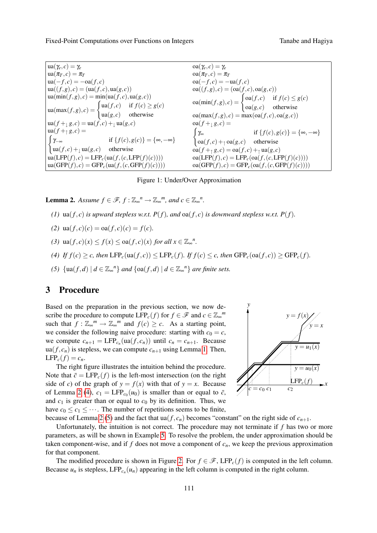Fixed-Point Computations over Functions on Integers Tanabe and Hagiva

 $ua(\gamma_e, c) = \gamma_e$  $\operatorname{ua}(\pi_T, c) = \pi_T$  $\operatorname{ua}(-f, c) = -\operatorname{oa}(f, c)$  $\text{ua}((f,g),c) = (\text{ua}(f,c),\text{ua}(g,c))$  $u$ a(min(*f*,*g*),*c*) = min(ua(*f*,*c*),ua(*g*,*c*))  $\text{ua}(\max(f,g), c) = \begin{cases} \text{ua}(f,c) & \text{if } f(c) \ge g(c) \end{cases}$  $\text{ua}(g,c)$  otherwise  $\text{ua}(f + \lg g, c) = \text{ua}(f, c) + \lg g(g)$  $\operatorname{ua}(f +_{\uparrow} g, c) =$  $\int \gamma_{-\infty}$ if  ${f(c), g(c)} = {\infty, -\infty}$  $\left| \text{ua}(f,c) + \text{ua}(g,c) \right|$  otherwise  $\text{ua}(\text{LFP}(f), c) = \text{LFP}_c(\text{ua}(f, (c, \text{LFP}(f)(c))))$  $\text{ua}(GFP(f), c) = GFP_c(\text{ua}(f, (c, GFP(f)(c))))$  $oa(\gamma_e, c) = \gamma_e$  $oa(\pi_T, c) = \pi_T$  $oa(-f, c) = -ua(f, c)$  $oa((f,g),c) = (oa(f,c),oa(g,c))$  $\text{oa}(\min(f,g), c) = \begin{cases} \text{oa}(f,c) & \text{if } f(c) \leq g(c) \end{cases}$  $oa(g, c)$  otherwise  $oa(max(f,g),c) = max(oa(f,c),oa(g,c))$  $oa(f+_{1}g,c) =$  $\int \gamma_{\infty}$ if  ${f(c), g(c)} = {\infty, -\infty}$  $\alpha(f,c) + \alpha(g,c)$  otherwise  $oa(f +_{\uparrow} g, c) = oa(f, c) +_{\uparrow} ua(g, c)$  $oa(\text{LFP}(f), c) = \text{LFP}_c(oa(f, (c, \text{LFP}(f)(c))))$  $oa(GFP(f), c) = GFP_c(oa(f, (c, GFP(f)(c))))$ 

#### <span id="page-3-0"></span>Figure 1: Under/Over Approximation

**Lemma 2.** Assume  $f \in \mathcal{F}$ ,  $f : \mathbb{Z}_{\infty}^n \to \mathbb{Z}_{\infty}^m$ , and  $c \in \mathbb{Z}_{\infty}^n$ .

- (1)  $\text{ua}(f,c)$  *is upward stepless w.r.t.*  $P(f)$ *, and*  $\text{oa}(f,c)$  *is downward stepless w.r.t.*  $P(f)$ *.*
- (2)  $\text{ua}(f, c)(c) = \text{oa}(f, c)(c) = f(c)$ .
- *(3)*  $\text{ua}(f, c)(x) \le f(x) \le \text{oa}(f, c)(x) \text{ for all } x \in \mathbb{Z}_{\infty}^n$ .
- <span id="page-3-1"></span>(4) If  $f(c) \geq c$ , then  $\text{LFP}_c(\text{ua}(f,c)) \leq \text{LFP}_c(f)$ . If  $f(c) \leq c$ , then  $\text{GFP}_c(\text{oa}(f,c)) \geq \text{GFP}_c(f)$ .
- <span id="page-3-2"></span>*(5)*  $\{\text{ua}(f,d) \mid d \in \mathbb{Z}_{\infty}^{n}\}\$  *and*  $\{\text{oa}(f,d) \mid d \in \mathbb{Z}_{\infty}^{n}\}\$  *are finite sets.*

# <span id="page-3-3"></span>3 Procedure

Based on the preparation in the previous section, we now describe the procedure to compute  $\text{LFP}_c(f)$  for  $f \in \mathcal{F}$  and  $c \in \mathbb{Z}_{\infty}^m$ such that  $f: \mathbb{Z}_{\infty}^{m} \to \mathbb{Z}_{\infty}^{m}$  and  $f(c) \geq c$ . As a starting point, we consider the following naive procedure: starting with  $c_0 = c$ , we compute  $c_{n+1} = \text{LFP}_{c_n}(\text{ua}(f, c_n))$  until  $c_n = c_{n+1}$ . Because  $ua(f, c_n)$  is stepless, we can compute  $c_{n+1}$  using Lemma [1.](#page-2-0) Then,  $LFP_c(f) = c_n$ .

The right figure illustrates the intuition behind the procedure. Note that  $\bar{c} = LFP_c(f)$  is the left-most intersection (on the right side of *c*) of the graph of  $y = f(x)$  with that of  $y = x$ . Because of Lemma [2](#page-2-2) [\(4\)](#page-3-1),  $c_1 = \text{LFP}_{c_0}(u_0)$  is smaller than or equal to  $\bar{c}$ , and  $c_1$  is greater than or equal to  $c_0$  by its definition. Thus, we have  $c_0 \leq c_1 \leq \cdots$ . The number of repetitions seems to be finite,



because of Lemma [2](#page-2-2) [\(5\)](#page-3-2) and the fact that  $\text{ua}(f, c_n)$  becomes "constant" on the right side of  $c_{n+1}$ .

Unfortunately, the intuition is not correct. The procedure may not terminate if *f* has two or more parameters, as will be shown in Example [5.](#page-4-0) To resolve the problem, the under approximation should be taken component-wise, and if  $f$  does not move a component of  $c_n$ , we keep the previous approximation for that component.

The modified procedure is shown in Figure [2.](#page-4-1) For  $f \in \mathcal{F}$ , LFP<sub>c</sub>(*f*) is computed in the left column. Because  $u_n$  is stepless, LFP<sub>c<sub>n</sub></sub> $(u_n)$  appearing in the left column is computed in the right column.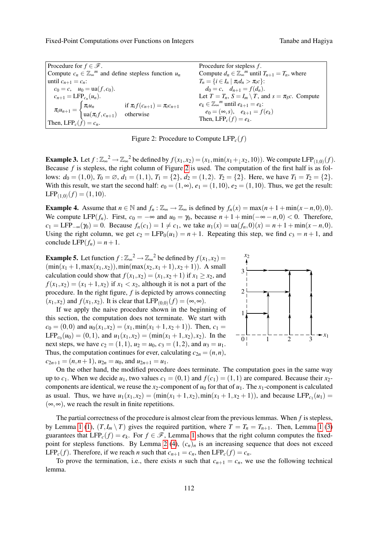Fixed-Point Computations over Functions on Integers Tanabe and Hagiva

| Procedure for $f \in \mathscr{F}$ .                                                                                                                   | Procedure for stepless $f$ .                                          |
|-------------------------------------------------------------------------------------------------------------------------------------------------------|-----------------------------------------------------------------------|
| Compute $c_n \in \mathbb{Z}_{\infty}^m$ and define stepless function $u_n$                                                                            | Compute $d_n \in \mathbb{Z}_{\infty}^m$ until $T_{n+1} = T_n$ , where |
| until $c_{n+1} = c_n$ :                                                                                                                               | $T_n = \{i \in I_n \mid \pi_i d_n > \pi_i c\}$ :                      |
| $c_0 = c$ , $u_0 = \text{ua}(f, c_0)$ .                                                                                                               | $d_0 = c$ , $d_{n+1} = f(d_n)$ .                                      |
| $c_{n+1} = LFP_{c_n}(u_n).$                                                                                                                           | Let $T = T_n$ , $S = I_m \setminus T$ , and $s = \pi_S c$ . Compute   |
| $\pi_i u_{n+1} = \begin{cases} \pi_i u_n & \text{if } \pi_i f(c_{n+1}) = \pi_i c_{n+1} \\ \text{ua}(\pi_i f, c_{n+1}) & \text{otherwise} \end{cases}$ | $e_k \in \mathbb{Z}_{\infty}^m$ until $e_{k+1} = e_k$ :               |
|                                                                                                                                                       | $e_0 = (\infty, s), \quad e_{k+1} = f(e_k)$                           |
| Then, $LFP_c(f) = c_n$ .                                                                                                                              | Then, LFP <sub>c</sub> $(f) = e_k$ .                                  |

<span id="page-4-1"></span>Figure 2: Procedure to Compute LFP*c*(*f*)

**Example 3.** Let  $f : \mathbb{Z}_{\infty}^2 \to \mathbb{Z}_{\infty}^2$  be defined by  $f(x_1, x_2) = (x_1, \min(x_1 +_1 x_2, 10))$ . We compute LFP<sub>(1,0)</sub>(*f*). Because *f* is stepless, the right column of Figure [2](#page-4-1) is used. The computation of the first half is as follows:  $d_0 = (1,0)$ ,  $T_0 = \emptyset$ ,  $d_1 = (1,1)$ ,  $T_1 = \{2\}$ ,  $d_2 = (1,2)$ .  $T_2 = \{2\}$ . Here, we have  $T_1 = T_2 = \{2\}$ . With this result, we start the second half:  $e_0 = (1, \infty)$ ,  $e_1 = (1, 10)$ ,  $e_2 = (1, 10)$ . Thus, we get the result:  $\text{LFP}_{(1,0)}(f) = (1,10).$ 

<span id="page-4-3"></span>**Example 4.** Assume that  $n \in \mathbb{N}$  and  $f_n : \mathbb{Z}_{\infty} \to \mathbb{Z}_{\infty}$  is defined by  $f_n(x) = \max(n+1+\min(x-n,0),0)$ . We compute LFP( $f_n$ ). First,  $c_0 = -\infty$  and  $u_0 = \gamma_0$ , because  $n + 1 + \min(-\infty - n, 0) < 0$ . Therefore,  $c_1 = \text{LFP}_{-\infty}(\gamma_0) = 0$ . Because  $f_n(c_1) = 1 \neq c_1$ , we take  $u_1(x) = \text{ua}(f_n, 0)(x) = n + 1 + \min(x - n, 0)$ . Using the right column, we get  $c_2 = LFP_0(u_1) = n + 1$ . Repeating this step, we find  $c_3 = n + 1$ , and conclude LFP $(f_n) = n + 1$ .

<span id="page-4-0"></span>**Example 5.** Let function  $f : \mathbb{Z}_{\infty}^2 \to \mathbb{Z}_{\infty}^2$  be defined by  $f(x_1, x_2) =$   $\frac{x_2}{4}$  $(\min(x_1 + 1, \max(x_1, x_2)), \min(\max(x_2, x_1 + 1), x_2 + 1)).$  A small calculation could show that  $f(x_1, x_2) = (x_1, x_2 + 1)$  if  $x_1 \ge x_2$ , and  $f(x_1, x_2) = (x_1 + 1, x_2)$  if  $x_1 < x_2$ , although it is not a part of the procedure. In the right figure, *f* is depicted by arrows connecting  $(x_1, x_2)$  and  $f(x_1, x_2)$ . It is clear that LFP<sub>(0,0)</sub> $(f) = (\infty, \infty)$ .

If we apply the naive procedure shown in the beginning of this section, the computation does not terminate. We start with  $c_0 = (0,0)$  and  $u_0(x_1,x_2) = (x_1, min(x_1+1,x_2+1))$ . Then,  $c_1 =$ LFP<sub>*c*0</sub></sub>(*u*<sub>0</sub>) = (0, 1), and *u*<sub>1</sub>(*x*<sub>1</sub>,*x*<sub>2</sub>) = (min(*x*<sub>1</sub> + 1,*x*<sub>2</sub>),*x*<sub>2</sub>). In the next steps, we have  $c_2 = (1,1)$ ,  $u_2 = u_0$ ,  $c_3 = (1,2)$ , and  $u_3 = u_1$ . Thus, the computation continues for ever, calculating  $c_{2n} = (n, n)$ ,  $c_{2n+1} = (n, n+1), u_{2n} = u_0$ , and  $u_{2n+1} = u_1$ .



On the other hand, the modified procedure does terminate. The computation goes in the same way up to  $c_1$ . When we decide  $u_1$ , two values  $c_1 = (0,1)$  and  $f(c_1) = (1,1)$  are compared. Because their  $x_2$ components are identical, we reuse the  $x_2$ -component of  $u_0$  for that of  $u_1$ . The  $x_1$ -component is calculated as usual. Thus, we have  $u_1(x_1, x_2) = (\min(x_1 + 1, x_2), \min(x_1 + 1, x_2 + 1))$ , and because LFP<sub>*c*1</sub>(*u*<sub>1</sub>) =  $(\infty, \infty)$ , we reach the result in finite repetitions.

The partial correctness of the procedure is almost clear from the previous lemmas. When *f* is stepless, by Lemma [1](#page-2-0) [\(1\)](#page-2-3),  $(T, I_m \setminus T)$  gives the required partition, where  $T = T_n = T_{n+1}$ . Then, Lemma 1 [\(3\)](#page-2-1) guarantees that  $LFP_c(f) = e_k$ . For  $f \in \mathcal{F}$ , Lemma [1](#page-2-0) shows that the right column computes the fixed-point for stepless functions. By Lemma [2](#page-2-2) [\(4\)](#page-3-1),  $(c_n)_n$  is an increasing sequence that does not exceed LFP<sub>c</sub>(*f*). Therefore, if we reach *n* such that  $c_{n+1} = c_n$ , then LFP<sub>c</sub>(*f*) =  $c_n$ .

<span id="page-4-2"></span>To prove the termination, i.e., there exists *n* such that  $c_{n+1} = c_n$ , we use the following technical lemma.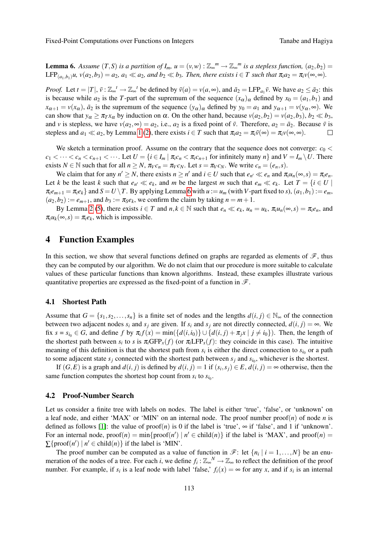**Lemma 6.** Assume  $(T, S)$  is a partition of  $I_m$ ,  $u = (v, w) : \mathbb{Z}_{\infty}^m \to \mathbb{Z}_{\infty}^m$  is a stepless function,  $(a_2, b_2) =$  $\text{LFP}_{(a_1, b_1)} u$ ,  $v(a_2, b_3) = a_2$ ,  $a_1 \ll a_2$ , and  $b_2 \ll b_3$ . Then, there exists  $i \in T$  such that  $\pi_i a_2 = \pi_i v(\infty, \infty)$ .

*Proof.* Let  $t = |T|$ ,  $\bar{v} : \mathbb{Z}_{\infty}^t \to \mathbb{Z}_{\infty}^t$  be defined by  $\bar{v}(a) = v(a, \infty)$ , and  $\bar{a}_2 = LFP_{a_1}\bar{v}$ . We have  $a_2 \leq \bar{a}_2$ : this is because while  $a_2$  is the *T*-part of the supremum of the sequence  $(x_\alpha)_\alpha$  defined by  $x_0 = (a_1, b_1)$  and  $x_{\alpha+1} = v(x_\alpha)$ ,  $\bar{a}_2$  is the supremum of the sequence  $(y_\alpha)_\alpha$  defined by  $y_0 = a_1$  and  $y_{\alpha+1} = v(y_\alpha, \infty)$ . We can show that  $y_{\alpha} \ge \pi_T x_{\alpha}$  by induction on  $\alpha$ . On the other hand, because  $v(a_2, b_2) = v(a_2, b_3)$ ,  $b_2 \ll b_3$ , and *v* is stepless, we have  $v(a_2, \infty) = a_2$ , i.e.,  $a_2$  is a fixed point of  $\bar{v}$ . Therefore,  $a_2 = \bar{a}_2$ . Because  $\bar{v}$  is stepless and  $a_1 \ll a_2$ , by Lemma [1](#page-2-0) [\(2\)](#page-2-4), there exists  $i \in T$  such that  $\pi_i a_2 = \pi_i \bar{\nu}(\infty) = \pi_i \nu(\infty, \infty)$ .  $\Box$ 

We sketch a termination proof. Assume on the contrary that the sequence does not converge:  $c_0$  <  $c_1 < \cdots < c_n < c_{n+1} < \cdots$ . Let  $U = \{i \in I_m | \pi_i c_n < \pi_i c_{n+1} \text{ for infinitely many } n \}$  and  $V = I_m \setminus U$ . There exists  $N \in \mathbb{N}$  such that for all  $n \geq N$ ,  $\pi_V c_n = \pi_V c_N$ . Let  $s = \pi_V c_N$ . We write  $c_n = (e_n, s)$ .

We claim that for any  $n' \ge N$ , there exists  $n \ge n'$  and  $i \in U$  such that  $e_{n'} \ll e_n$  and  $\pi_i u_n(\infty, s) = \pi_i e_n$ . Let *k* be the least *k* such that  $e_{n'} \ll e_k$ , and *m* be the largest *m* such that  $e_m \ll e_k$ . Let  $T = \{i \in U \mid$  $\pi_i e_{m+1} = \pi_i e_k$  and  $S = U \setminus T$ . By applying Lemma [6](#page-4-2) with  $u := u_m$  (with V-part fixed to s),  $(a_1, b_1) := e_m$ ,  $(a_2,b_2) := e_{m+1}$ , and  $b_3 := \pi_S e_k$ , we confirm the claim by taking  $n = m+1$ .

By Lemma [2](#page-2-2) [\(5\)](#page-3-2), there exists  $i \in T$  and  $n, k \in \mathbb{N}$  such that  $e_n \ll e_k$ ,  $u_n = u_k$ ,  $\pi_i u_n(\infty, s) = \pi_i e_n$ , and  $\pi_i u_k(\infty, s) = \pi_i e_k$ , which is impossible.

## 4 Function Examples

In this section, we show that several functions defined on graphs are regarded as elements of  $\mathscr{F}$ , thus they can be computed by our algorithm. We do not claim that our procedure is more suitable to calculate values of these particular functions than known algorithms. Instead, these examples illustrate various quantitative properties are expressed as the fixed-point of a function in  $\mathscr{F}$ .

### 4.1 Shortest Path

Assume that  $G = \{s_1, s_2, \ldots, s_n\}$  is a finite set of nodes and the lengths  $d(i, j) \in \mathbb{N}_{\infty}$  of the connection between two adjacent nodes  $s_i$  and  $s_j$  are given. If  $s_i$  and  $s_j$  are not directly connected,  $d(i, j) = \infty$ . We fix  $s = s_{i_0} \in G$ , and define f by  $\pi_i f(x) = \min(\{d(i, i_0)\} \cup \{d(i, j) + \pi_j x \mid j \neq i_0\})$ . Then, the length of the shortest path between  $s_i$  to  $s$  is  $\pi_i$ GFP<sub>x</sub>( $f$ ) (or  $\pi_i$ LFP<sub>x</sub>( $f$ ): they coincide in this case). The intuitive meaning of this definition is that the shortest path from  $s_i$  is either the direct connection to  $s_{i_0}$  or a path to some adjacent state  $s_j$  connected with the shortest path between  $s_j$  and  $s_{i_0}$ , whichever is the shortest.

If  $(G, E)$  is a graph and  $d(i, j)$  is defined by  $d(i, j) = 1$  if  $(s_i, s_j) \in E$ ,  $d(i, j) = \infty$  otherwise, then the same function computes the shortest hop count from  $s_i$  to  $s_{i_0}$ .

## 4.2 Proof-Number Search

Let us consider a finite tree with labels on nodes. The label is either 'true', 'false', or 'unknown' on a leaf node, and either 'MAX' or 'MIN' on an internal node. The proof number  $\text{proof}(n)$  of node *n* is defined as follows [\[1\]](#page-6-2): the value of proof(*n*) is 0 if the label is 'true',  $\infty$  if 'false', and 1 if 'unknown'. For an internal node,  $\text{proof}(n) = \min\{\text{proof}(n') \mid n' \in \text{child}(n)\}\$ if the label is 'MAX', and  $\text{proof}(n) =$  $\sum$ {proof(*n'*) | *n'*  $\in$  child(*n*)} if the label is 'MIN'.

The proof number can be computed as a value of function in  $\mathcal{F}$ : let  $\{n_i \mid i = 1, ..., N\}$  be an enumeration of the nodes of a tree. For each *i*, we define  $f_i : \mathbb{Z}_{\infty}^N \to \mathbb{Z}_{\infty}$  to reflect the definition of the proof number. For example, if  $s_i$  is a leaf node with label 'false,'  $f_i(x) = \infty$  for any *x*, and if  $s_i$  is an internal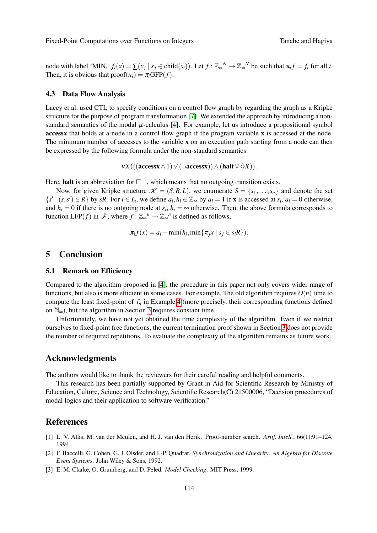node with label 'MIN,'  $f_i(x) = \sum (x_j | s_j \in child(s_i))$ . Let  $f : \mathbb{Z}_{\infty}^N \to \mathbb{Z}_{\infty}^N$  be such that  $\pi_i f = f_i$  for all *i*. Then, it is obvious that  $\text{proof}(n_i) = \pi_i \text{GFP}(f)$ .

#### 4.3 Data Flow Analysis

Lacey et al. used CTL to specify conditions on a control flow graph by regarding the graph as a Kripke structure for the purpose of program transformation [\[7\]](#page-7-3). We extended the approach by introducing a nonstandard semantics of the modal  $\mu$ -calculus [\[4\]](#page-7-1). For example, let us introduce a propositional symbol accessx that holds at a node in a control flow graph if the program variable x is accessed at the node. The minimum number of accesses to the variable x on an execution path starting from a node can then be expressed by the following formula under the non-standard semantics:

 $vX(((\mathbf{access} \land 1) \lor (\neg \mathbf{access} \land)) \land (\mathbf{halt} \lor \Diamond X)).$ 

Here, halt is an abbreviation for  $\Box \bot$ , which means that no outgoing transition exists.

Now, for given Kripke structure  $\mathcal{K} = (S, R, L)$ , we enumerate  $S = \{s_1, \ldots, s_n\}$  and denote the set  $\{s' \mid (s, s') \in R\}$  by sR. For  $i \in I_n$ , we define  $a_i, h_i \in \mathbb{Z}_{\infty}$  by  $a_i = 1$  if **x** is accessed at  $s_i, a_i = 0$  otherwise, and  $h_i = 0$  if there is no outgoing node at  $s_i$ ,  $h_i = \infty$  otherwise. Then, the above formula corresponds to function LFP(*f*) in  $\mathscr{F}$ , where  $f : \mathbb{Z}_{\infty}^n \to \mathbb{Z}_{\infty}^n$  is defined as follows,

$$
\pi_i f(x) = a_i + \min(h_i, \min\{\pi_j x \mid s_j \in s_i R\}).
$$

# 5 Conclusion

#### 5.1 Remark on Efficiency

Compared to the algorithm proposed in [\[4\]](#page-7-1), the procedure in this paper not only covers wider range of functions, but also is more efficient in some cases. For example, The old algorithm requires  $O(n)$  time to compute the least fixed-point of  $f<sub>n</sub>$  in Example [4](#page-4-3) (more precisely, their corresponding functions defined on  $\mathbb{N}_{\infty}$ ), but the algorithm in Section [3](#page-3-3) requires constant time.

Unfortunately, we have not yet obtained the time complexity of the algorithm. Even if we restrict ourselves to fixed-point free functions, the current termination proof shown in Section [3](#page-3-3) does not provide the number of required repetitions. To evaluate the complexity of the algorithm remains as future work.

## Acknowledgments

The authors would like to thank the reviewers for their careful reading and helpful comments.

This research has been partially supported by Grant-in-Aid for Scientific Research by Ministry of Education, Culture, Science and Technology, Scientific Research(C) 21500006, "Decision procedures of modal logics and their application to software verification."

## References

- <span id="page-6-2"></span>[1] L. V. Allis, M. van der Meulen, and H. J. van den Herik. Proof-number search. *Artif. Intell.*, 66(1):91–124, 1994.
- <span id="page-6-1"></span>[2] F. Baccelli, G. Cohen, G. J. Olsder, and J.-P. Quadrat. *Synchronization and Linearity: An Algebra for Discrete Event Systems*. John Wiley & Sons, 1992.
- <span id="page-6-0"></span>[3] E. M. Clarke, O. Grumberg, and D. Peled. *Model Checking*. MIT Press, 1999.